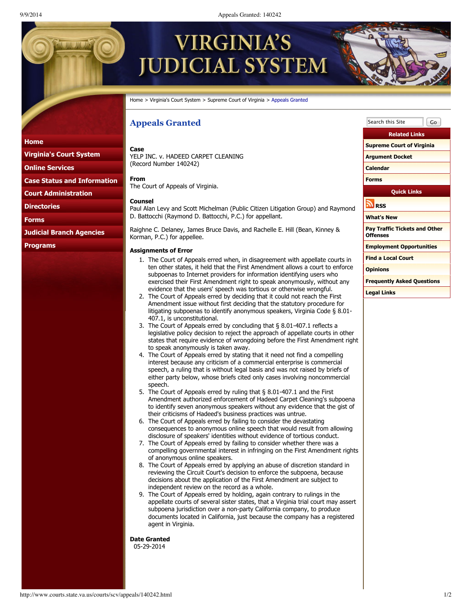9/9/2014 Appeals Granted: 140242

# **VIRGINIA'S UDICIAL SYSTEM**

Home > Virginia's Court System > Supreme Court of Virginia > Appeals Granted

# **Appeals Granted**

# **Home**

**Virginia's Court System**

**Online Services**

**Case Status and Information**

**Court Administration**

**Directories**

**Forms**

**Judicial Branch Agencies**

**Programs**

#### **Case** YELP INC. v. HADEED CARPET CLEANING (Record Number 140242)

**From** The Court of Appeals of Virginia.

### **Counsel**

Paul Alan Levy and Scott Michelman (Public Citizen Litigation Group) and Raymond D. Battocchi (Raymond D. Battocchi, P.C.) for appellant.

Raighne C. Delaney, James Bruce Davis, and Rachelle E. Hill (Bean, Kinney & Korman, P.C.) for appellee.

## **Assignments of Error**

- 1. The Court of Appeals erred when, in disagreement with appellate courts in ten other states, it held that the First Amendment allows a court to enforce subpoenas to Internet providers for information identifying users who exercised their First Amendment right to speak anonymously, without any evidence that the users' speech was tortious or otherwise wrongful.
- 2. The Court of Appeals erred by deciding that it could not reach the First Amendment issue without first deciding that the statutory procedure for litigating subpoenas to identify anonymous speakers, Virginia Code § 8.01- 407.1, is unconstitutional.
- 3. The Court of Appeals erred by concluding that § 8.01-407.1 reflects a legislative policy decision to reject the approach of appellate courts in other states that require evidence of wrongdoing before the First Amendment right to speak anonymously is taken away.
- 4. The Court of Appeals erred by stating that it need not find a compelling interest because any criticism of a commercial enterprise is commercial speech, a ruling that is without legal basis and was not raised by briefs of either party below, whose briefs cited only cases involving noncommercial speech.
- 5. The Court of Appeals erred by ruling that § 8.01-407.1 and the First Amendment authorized enforcement of Hadeed Carpet Cleaning's subpoena to identify seven anonymous speakers without any evidence that the gist of their criticisms of Hadeed's business practices was untrue.
- 6. The Court of Appeals erred by failing to consider the devastating consequences to anonymous online speech that would result from allowing disclosure of speakers' identities without evidence of tortious conduct.
- 7. The Court of Appeals erred by failing to consider whether there was a compelling governmental interest in infringing on the First Amendment rights of anonymous online speakers.
- 8. The Court of Appeals erred by applying an abuse of discretion standard in reviewing the Circuit Court's decision to enforce the subpoena, because decisions about the application of the First Amendment are subject to independent review on the record as a whole.
- 9. The Court of Appeals erred by holding, again contrary to rulings in the appellate courts of several sister states, that a Virginia trial court may assert subpoena jurisdiction over a non-party California company, to produce documents located in California, just because the company has a registered agent in Virginia.

**Date Granted** 05-29-2014